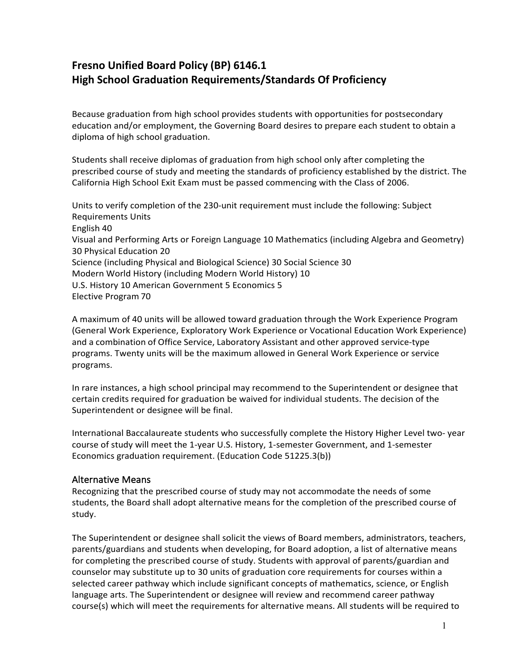# **Fresno Unified Board Policy (BP) 6146.1 High School Graduation Requirements/Standards Of Proficiency**

Because graduation from high school provides students with opportunities for postsecondary education and/or employment, the Governing Board desires to prepare each student to obtain a diploma of high school graduation.

Students shall receive diplomas of graduation from high school only after completing the prescribed course of study and meeting the standards of proficiency established by the district. The California High School Exit Exam must be passed commencing with the Class of 2006.

Units to verify completion of the 230-unit requirement must include the following: Subject Requirements Units English 40 Visual and Performing Arts or Foreign Language 10 Mathematics (including Algebra and Geometry) 30 Physical Education 20 Science (including Physical and Biological Science) 30 Social Science 30 Modern World History (including Modern World History) 10 U.S. History 10 American Government 5 Economics 5 Elective Program 70

A maximum of 40 units will be allowed toward graduation through the Work Experience Program (General Work Experience, Exploratory Work Experience or Vocational Education Work Experience) and a combination of Office Service, Laboratory Assistant and other approved service-type programs. Twenty units will be the maximum allowed in General Work Experience or service programs.

In rare instances, a high school principal may recommend to the Superintendent or designee that certain credits required for graduation be waived for individual students. The decision of the Superintendent or designee will be final.

International Baccalaureate students who successfully complete the History Higher Level two- year course of study will meet the 1-year U.S. History, 1-semester Government, and 1-semester Economics graduation requirement. (Education Code 51225.3(b))

## Alternative Means

Recognizing that the prescribed course of study may not accommodate the needs of some students, the Board shall adopt alternative means for the completion of the prescribed course of study.

The Superintendent or designee shall solicit the views of Board members, administrators, teachers, parents/guardians and students when developing, for Board adoption, a list of alternative means for completing the prescribed course of study. Students with approval of parents/guardian and counselor may substitute up to 30 units of graduation core requirements for courses within a selected career pathway which include significant concepts of mathematics, science, or English language arts. The Superintendent or designee will review and recommend career pathway course(s) which will meet the requirements for alternative means. All students will be required to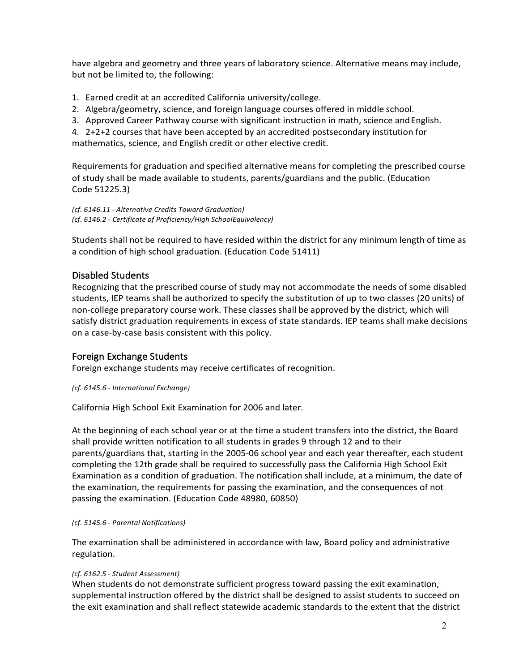have algebra and geometry and three years of laboratory science. Alternative means may include, but not be limited to, the following:

- 1. Earned credit at an accredited California university/college.
- 2. Algebra/geometry, science, and foreign language courses offered in middle school.
- 3. Approved Career Pathway course with significant instruction in math, science and English.

4. 2+2+2 courses that have been accepted by an accredited postsecondary institution for mathematics, science, and English credit or other elective credit.

Requirements for graduation and specified alternative means for completing the prescribed course of study shall be made available to students, parents/guardians and the public. (Education Code 51225.3)

*(cf. 6146.11 - Alternative Credits Toward Graduation) (cf. 6146.2 - Certificate of Proficiency/High SchoolEquivalency)*

Students shall not be required to have resided within the district for any minimum length of time as a condition of high school graduation. (Education Code 51411)

# Disabled Students

Recognizing that the prescribed course of study may not accommodate the needs of some disabled students, IEP teams shall be authorized to specify the substitution of up to two classes (20 units) of non-college preparatory course work. These classes shall be approved by the district, which will satisfy district graduation requirements in excess of state standards. IEP teams shall make decisions on a case-by-case basis consistent with this policy.

## Foreign Exchange Students

Foreign exchange students may receive certificates of recognition.

#### *(cf. 6145.6 - International Exchange)*

California High School Exit Examination for 2006 and later.

At the beginning of each school year or at the time a student transfers into the district, the Board shall provide written notification to all students in grades 9 through 12 and to their parents/guardians that, starting in the 2005-06 school year and each year thereafter, each student completing the 12th grade shall be required to successfully pass the California High School Exit Examination as a condition of graduation. The notification shall include, at a minimum, the date of the examination, the requirements for passing the examination, and the consequences of not passing the examination. (Education Code 48980, 60850)

#### *(cf. 5145.6 - Parental Notifications)*

The examination shall be administered in accordance with law, Board policy and administrative regulation.

#### *(cf. 6162.5 - Student Assessment)*

When students do not demonstrate sufficient progress toward passing the exit examination, supplemental instruction offered by the district shall be designed to assist students to succeed on the exit examination and shall reflect statewide academic standards to the extent that the district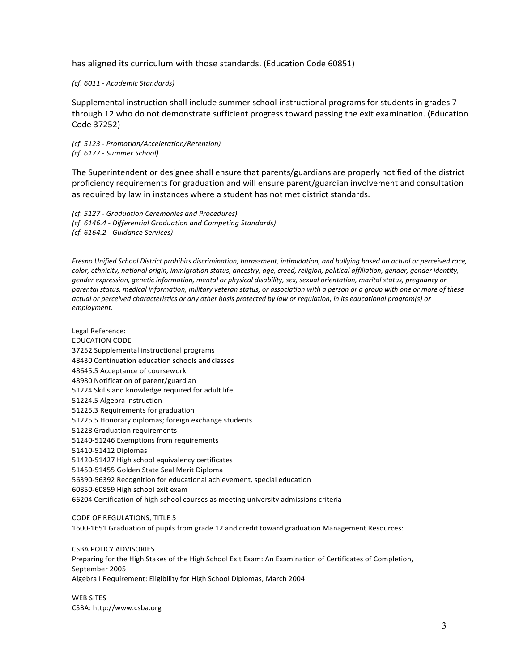has aligned its curriculum with those standards. (Education Code 60851)

*(cf. 6011 - Academic Standards)*

Supplemental instruction shall include summer school instructional programs for students in grades 7 through 12 who do not demonstrate sufficient progress toward passing the exit examination. (Education Code 37252)

*(cf. 5123 - Promotion/Acceleration/Retention) (cf. 6177 - Summer School)*

The Superintendent or designee shall ensure that parents/guardians are properly notified of the district proficiency requirements for graduation and will ensure parent/guardian involvement and consultation as required by law in instances where a student has not met district standards.

*(cf. 5127 - Graduation Ceremonies and Procedures) (cf. 6146.4 - Differential Graduation and Competing Standards) (cf. 6164.2 - Guidance Services)*

*Fresno Unified School District prohibits discrimination, harassment, intimidation, and bullying based on actual or perceived race, color, ethnicity, national origin, immigration status, ancestry, age, creed, religion, political affiliation, gender, gender identity, gender expression, genetic information, mental or physical disability, sex, sexual orientation, marital status, pregnancy or parental status, medical information, military veteran status, or association with a person or a group with one or more of these actual or perceived characteristics or any other basis protected by law or regulation, in its educational program(s) or employment.*

Legal Reference: EDUCATION CODE 37252 Supplemental instructional programs 48430 Continuation education schools andclasses 48645.5 Acceptance of coursework 48980 Notification of parent/guardian 51224 Skills and knowledge required for adult life 51224.5 Algebra instruction 51225.3 Requirements for graduation 51225.5 Honorary diplomas; foreign exchange students 51228 Graduation requirements 51240-51246 Exemptions from requirements 51410-51412 Diplomas 51420-51427 High school equivalency certificates 51450-51455 Golden State Seal Merit Diploma 56390-56392 Recognition for educational achievement, special education 60850-60859 High school exit exam 66204 Certification of high school courses as meeting university admissions criteria

CODE OF REGULATIONS, TITLE 5 1600-1651 Graduation of pupils from grade 12 and credit toward graduation Management Resources:

CSBA POLICY ADVISORIES Preparing for the High Stakes of the High School Exit Exam: An Examination of Certificates of Completion, September 2005 Algebra I Requirement: Eligibility for High School Diplomas, March 2004

WEB SITES CSBA[: http://www.csba.org](http://www.csba.org/)